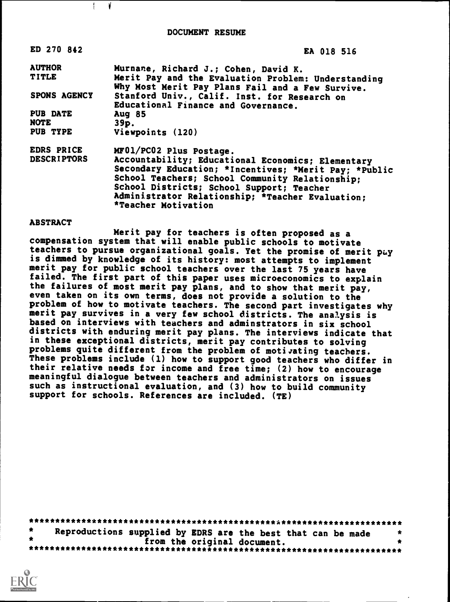| ED 270 842          | EA 018 516                                                                                                                                                                                                                                                                            |  |  |  |  |  |
|---------------------|---------------------------------------------------------------------------------------------------------------------------------------------------------------------------------------------------------------------------------------------------------------------------------------|--|--|--|--|--|
| <b>AUTHOR</b>       | Murnane, Richard J.; Cohen, David K.                                                                                                                                                                                                                                                  |  |  |  |  |  |
| <b>TITLE</b>        | Merit Pay and the Evaluation Problem: Understanding<br>Why Most Merit Pay Plans Fail and a Few Survive.                                                                                                                                                                               |  |  |  |  |  |
| <b>SPONS AGENCY</b> | Stanford Univ., Calif. Inst. for Research on<br>Educational Finance and Governance.                                                                                                                                                                                                   |  |  |  |  |  |
| <b>PUB DATE</b>     | <b>Aug 85</b>                                                                                                                                                                                                                                                                         |  |  |  |  |  |
| NOTE                | $39p$ .                                                                                                                                                                                                                                                                               |  |  |  |  |  |
| PUB TYPE            | Viewpoints (120)                                                                                                                                                                                                                                                                      |  |  |  |  |  |
| EDRS PRICE          | MF01/PC02 Plus Postage.                                                                                                                                                                                                                                                               |  |  |  |  |  |
| <b>DESCRIPTORS</b>  | Accountability; Educational Economics; Elementary<br>Secondary Education; *Incentives; *Merit Pay; *Public<br>School Teachers; School Community Relationship;<br>School Districts; School Support; Teacher<br>Administrator Relationship; *Teacher Evaluation:<br>*Teacher Motivation |  |  |  |  |  |

#### ABSTRACT

 $\mathbb{E}$ ¥

Merit pay for teachers is often proposed as a compensation system that will enable public schools to motivate teachers to pursue organizational goals. Yet the promise of merit pay is dimmed by knowledge of its history: most attempts to implement merit pay for public school teachers over the last 75 years have failed. The first part of this paper uses microeconomics to explain the failures of most merit pay plans, and to show that merit pay, even taken on its own terms, does not provide a solution to the problem of how to motivate teachers. The second part investigates why merit pay survives in a very few school districts. The analysis is based on interviews with teachers and adminstrators in six school districts with enduring merit pay plans. The interviews indicate that in these exceptional districts, merit pay contributes to solving problems quite different from the problem of motivating teachers. These problems include (1) how to support good teachers who differ in their relative needs for income and free time; (2) how to encourage meaningful dialogue between teachers and administrators on issues such as instructional evaluation, and (3) how to build community support for schools. References are included. (TE)

|  | Reproductions supplied by EDRS are the best that can be made |  |                             |  |  |  |  |  |
|--|--------------------------------------------------------------|--|-----------------------------|--|--|--|--|--|
|  |                                                              |  | from the original document. |  |  |  |  |  |
|  |                                                              |  |                             |  |  |  |  |  |

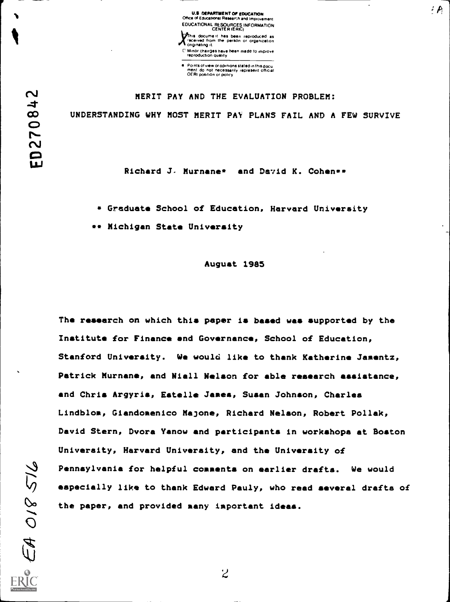U.S. DEPARTMENT OF EDUCATION<br>Office of Educational Research and Improvement EDUCATIONAL RESOURCES INFORMATION CENTER (ERIC) This docume it has been reproduced <u>as</u><br>received from the person or organization<br>originating it r Minor changes have been made to improve

 $4.4$ 

Points of view or opinions stated in this docu<br>ment ido: not inecessarily irepresent official<br>OERI position or policy

reproduction quality

### MERIT PAY AND THE EVALUATION PROBLEM:

UNDERSTANDING WHY MOST MERIT PAY PLANS FAIL AND A FEW SURVIVE

Richard J. Murnane\* and David K. Cohen\*\*

Graduate School of Education, Harvard University

\*\* Michigan State University

August 1985

The research on which this paper is based was supported by the Institute for Finance and Governance, School of Education, Stanford University. We would like to thank Katherine Jamentz, Patrick Murnane, and Niall Nelson for able research assistance, and Chris Argyria, Estelle James, Susan Johnson, Charles Lindblom, Giandomenico Majone, Richard Nelson, Robert Pollak, David Stern, Dvora Yanow and participants in workshops at Boston University, Harvard University, and the University of Pennsylvania for helpful comments on earlier drafts. We would especially like to thank Edward Pauly, who read several drafts of the paper, and provided many important ideas.

 $\overline{z}$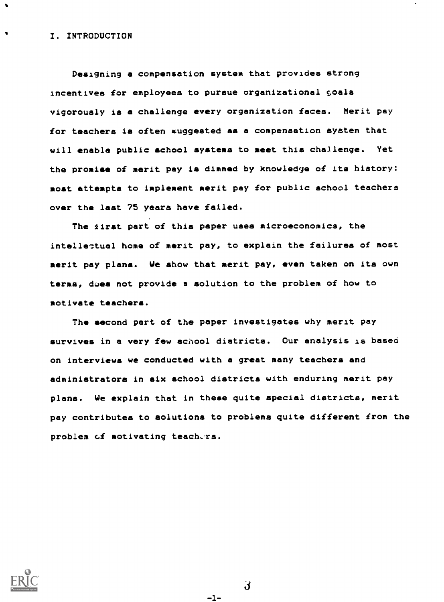### I. INTRODUCTION

 $\bullet$ 

Designing a compensation system that provides strong incentives for employees to pursue organizational goals vigorously is a challenge every organization faces. Merit pay for teachers is often suggested as a compensation system that will enable public school systems to meet this challenge. Yet the promise of merit pay is dimmed by knowledge of its history: most attempts to implement merit pay for public school teachers over the last 75 years have failed.

The tirst part of this paper uses microeconomics, the intellectual home of merit pay, to explain the failures of most merit pay plans. We show that merit pay, even taken on its own terms, does not provide a solution to the problem of how to motivate teachers.

The second part of the paper investigates why merit pay survives in a very few school districts. Our analysis is based on interviews we conducted with a great many teachers and administrators in six school districts with enduring merit pay plans. We explain that in these quite special districts, merit pay contributes to solutions to problems quite different from the problem of motivating teachers.



 $\mathbf{d}$ 

-1-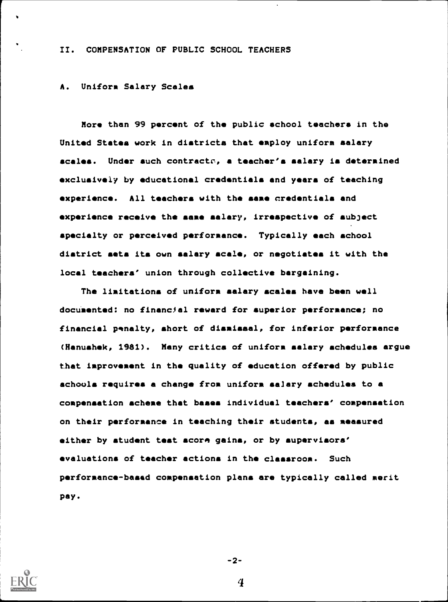## II. COMPENSATION OF PUBLIC SCHOOL TEACHERS

### A. Uniform Salary Scales

More than 99 percent of the public school teachers in the United States work in districts that employ uniform salary scales. Under such contracts, a teacher's salary is determined exclusively by educational credentials and years of teaching e xperience. All teachers with the same credentials and experience receive the same salary, irrespective of subject specialty or perceived performance. Typically each school district sets its own salary scale, or negotiates it with the local teachers' union through collective bargaining.

The limitations of uniform salary scales have been well documented: no financial reward for superior performance; no financial penalty, short of dismissal, for inferior performance (Hanushek, 1981). Many critics of uniform salary schedules argue that improvement in the quality of education offered by public schools requires a change from uniform salary schedules to a compensation scheme that bases individual teachers' compensation on their performance in teaching their students, as measured either by student test score gains, or by supervisors' e valuations of teacher actions in the classroom. Such performance-based compensation plans are typically called merit pay.



-2-

 $\boldsymbol{4}$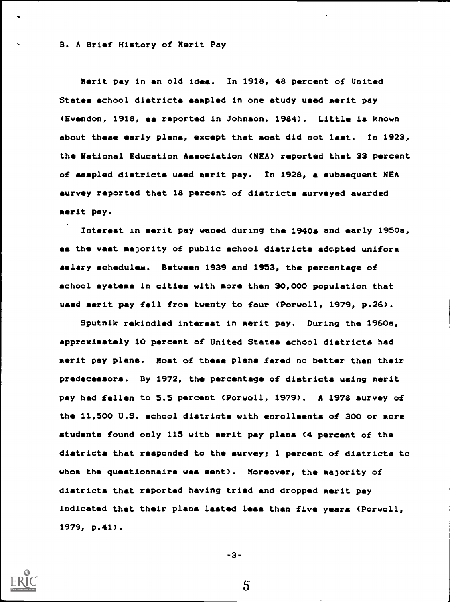B. A Brief History of Merit Pay

Merit pay in an old idea. In 1918, 48 percent of United States school diatricta sampled in one study used merit pay (Evendon, 1918, as reported in Johnson, 1984). Little is known about these early plane, except that most did not last. In 1923, the National Education Aaaociation (NEA) reported that 33 percent of sampled districts used merit pay. In 1928, a subsequent NEA survey reported that 18 percent of districts surveyed awarded merit pay.

Interest in merit pay waned during the 1940s and early 1950s, as the vast majority of public school districts adopted uniform salary schedules. Between 1939 and 1953, the percentage of school systems in cities with more than 30,000 population that used merit pay fell from twenty to four (Porwoll, 1979, p.26).

Sputnik rekindled interest in merit pay. During the 1960a, approximately 10 percent of United States school districts had merit pay plans. Most of these plans fared no better than their predecessors. By 1972, the percentage of diatricta using merit pay had fallen to 5.5 percent (Porwoll, 1979). A 1978 survey of the 11,500 U.S. school districts with enrollments of 300 or more students found only 115 with merit pay plans (4 percent of the districts that responded to the survey; 1 percent of districts to whom the questionnaire was sent). Moreover, the majority of districts that reported having tried and dropped merit pay indicated that their plans lasted leas than five years (Porwoll, 1979, p.41).

-3-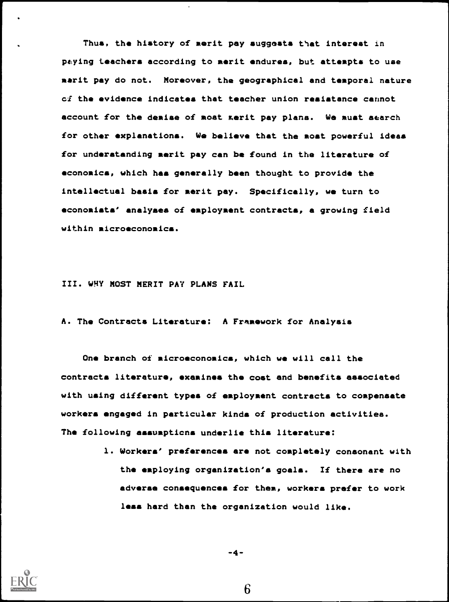Thus, the history of merit pay suggests that interest in paying teachers according to merit endures, but attempts to use merit pay do not. Moreover, the geographical and temporal nature ci the evidence indicates that teacher union resistance cannot account for the demise of moat xerit pay plans. We must search for other explanations. We believe that the most powerful ideas for understanding merit pay can be found in the literature of e conomics, which has generally been thought to provide the intellectual basis for merit pay. Specifically, we turn to e conomists' analyses of employment contracts, a growing field within microeconomics.

III. WHY MOST MERIT PAY PLANS FAIL

A. The Contracts Literature: A Framework for Analysis

One branch of microeconomics, which we will call the contracts literature, examines the coat and benefits associated with using different types of employment contracts to compensate workers engaged in particular kinds of production activities. The following assumpticns underlie this literature:

> 1. Workers' preferences are not completely consonant with the employing organization's goals. If there are no adverse consequences for them, workers prefer to work less hard than the organization would like.



-4-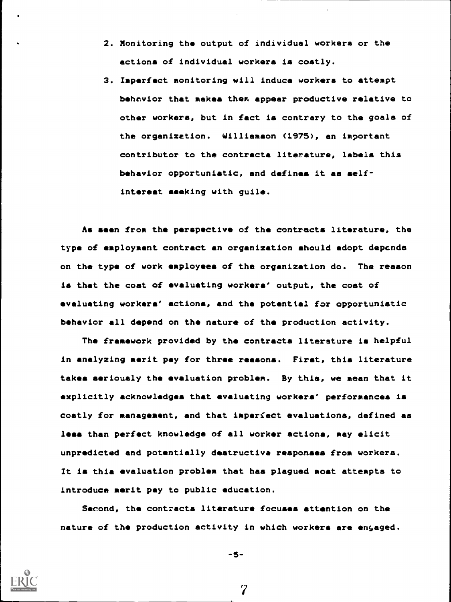- 2. Monitoring the output of individual workers or the actions of individual workers is costly.
- 3. Imperfect monitoring will induce workers to attempt behavior that makes them appear productive relative to other workers, but in fact is contrary to the goals of the organization. Williamson (1975), an important contributor to the contracta literature, labels this behavior opportunistic, and defines it as selfinterest seeking with guile.

As seen from the perspective of the contracts literature, the type of employment contract an organization should adopt depends on the type of work employees of the organization do. The reason is that the coat of evaluating workers' output, the cost of evaluating workers' actions, and the potential for opportunistic behavior all depend on the nature of the production activity.

The framework provided by the contracts literature is helpful in analyzing merit pay for three reasons. First, thia literature takes seriously the evaluation problem. By this, we mean that it explicitly acknowledges that evaluating workers' performances is costly for management, and that imperfect evaluations, defined as less than perfect knowledge of all worker actions, may elicit unpredicted and potentially destructive responses from workers. It is this evaluation problem that has plagued most attempts to introduce merit pay to public education.

Second, the contracts literature focuses attention on the nature of the production activity in which workers are engaged.



-5-

 $\boldsymbol{7}$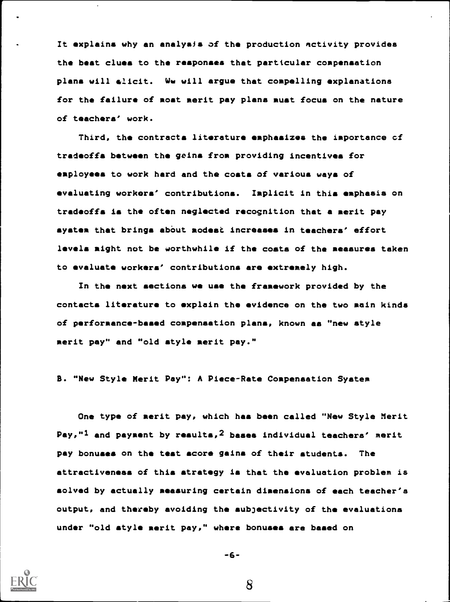It explains why an analysis of the production activity provides the best clues to the responses that particular compensation plans will elicit. Ww will argue that compelling explanations for the failure of most merit pay plans must focus on the nature of teachers' work.

Third, the contracts literature emphasizes the importance of tradeoffs between the geins from providing incentives for employees to work hard and the costs of various ways of evaluating workers' contributions. Implicit in this emphasis on tradeoffs is the often neglected recognition that a merit pay system that brings about modest increases in teachers' effort levels might not be worthwhile if the costs of the measures taken to evaluate workers' contributions are extremely high.

In the next sections we use the framework provided by the contacts literature to explain the evidence on the two main kinds of performance-based compensation plans, known as "new style merit pay" and "old style merit pay."

B. "New Style Merit Pay": A Piece-Rate Compensation System

One type of merit pay, which has been called "New Style Merit Pay,"<sup>1</sup> and payment by results,<sup>2</sup> bases individual teachers' merit pay bonuses on the teat score gains of their students. The attractiveness of this strategy is that the evaluation problem is solved by actually measuring certain dimensions of each teacher's output, and thereby avoiding the subjectivity of the evaluations under "old style merit pay," where bonuses are based on

$$
-6-
$$

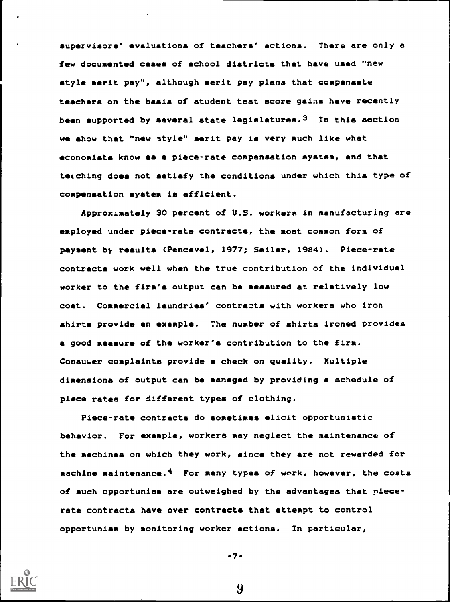supervisors' evaluations of teachers' actions. There are only a few documented cases of school districts that have used "new style merit pay", although merit pay plans that compensate teachers on the basis of student test score gains have recently been supported by several state legislatures.  $3$  In this section we show that "new style" merit pay is very such like what economists know as a piece-rate compensation system, and that teaching does not satisfy the conditions under which this type of compensation system is efficient.

Approximately 30 percent of U.S. workers in manufacturing are employed under piece-rate contracts, the most common form of payment by results (Pencavel, 1977; Seiler, 1984). Piece-rate contracts work well when the true contribution of the individual worker to the firm's output can be measured at relatively low cost. Commercial laundries' contracts with workers who iron shirts provide an example. The number of shirts ironed provides a good measure of the worker's contribution to the firm. Consui4er complaints provide a check on quality. Multiple dimensions of output can be managed by providing a schedule of piece rates for different types of clothing.

Piece-rate contracts do sometimes elicit opportunistic behavior. For example, workers may neglect the maintenance of the machines on which they work, since they are not rewarded for machine maintenance.<sup>4</sup> For many types of work, however, the costs of such opportuniam are outweighed by the advantages that piecerate contracts have over contracts that attempt to control opportunism by monitoring worker actions. In particular,

$$
-7 -
$$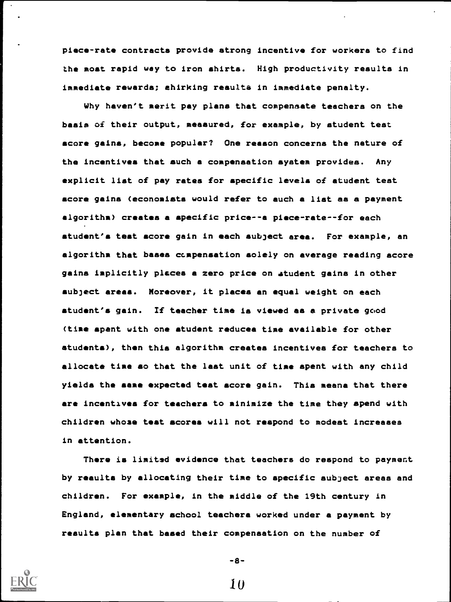piece-rate contracts provide strong incentive for workers to find the moat rapid way to iron shirts. High productivity results in immediate rewards; shirking resulte in immediate penalty.

Why haven't merit pay plena that compensate teachers on the basis of their output, measured, for example, by student teat score gains, become popular? One reason concerns the nature of the incentives that such a compensation ayatem provides. Any explicit list of pay rates for specific levels of student teat score gains (economists would refer to such a list as a payment algorithm) creates a specific price--a piece-rate--for each student's test score gain in each subject area. For example, an algorithm that bases compensation solely on average reading score gains implicitly places a zero price on student gains in other subject areas. Moreover, it places an equal weight on each student's gain. If teacher time is viewed as a private gcod (time spent with one student reduces time available for other students), then thin algorithm creates incentives for teachers to allocate time so that the last unit of time spent with any child yields the same expected teat score gain. This means that there are incentivea for teachers to minimize the time they spend with children whose teat scores will not respond to modest increases in attention.

There is limited evidence that teachers do respond to payment by results by allocating their time to specific subject areas and children. For example, in the middle of the 19th century in England, elementary school teachers worked under a payment by results plan that based their compensation on the number of



-8-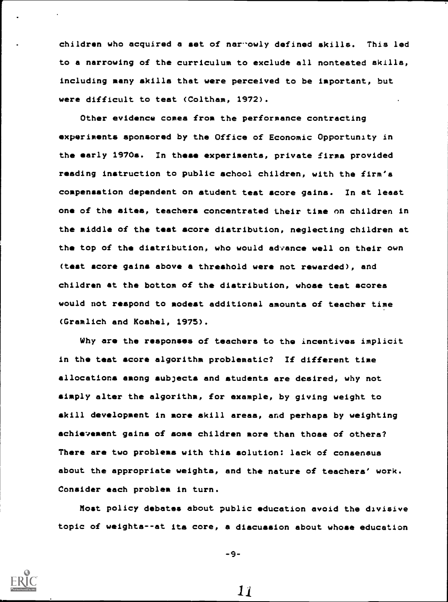children who acquired a set of nar-owly defined skills. This led to a narrowing of the curriculum to exclude all nonteated skills, including many akilla that were perceived to be important, but were difficult to teat (Coltham, 1972).

Other evidence comes from the performance contracting experiments sponsored by the Office of Economic Opportunity in the early 1970s. In these experiments, private firma provided reading instruction to public school children, with the firm's compensation dependent on atudent teat score gains. In at least one of the sites, teachers concentrated their time on children in the middle of the teat score distribution, neglecting children at the top of the distribution, who would advance well on their own (test score gains above a threshold were not rewarded), and children at the bottom of the distribution, whose teat scores would not respond to modest additional amounts of teacher time (Gramlich and Koshol, 1975).

Why are the responses of teachers to the incentives implicit in the teat score algorithm problematic? If different time allocations among subjects and students are desired, why not simply alter the algorithm, for example, by giving weight to skill development in more skill areas, and perhaps by weighting achievement gains of some children more then those of others? There are two problems with this solution: lack of consensus about the appropriate weights, and the nature of teachers' work. Consider each problem in turn.

Most policy debates about public education avoid the divisive topic of weights--at its core, a diacusaion about whose education

-9-

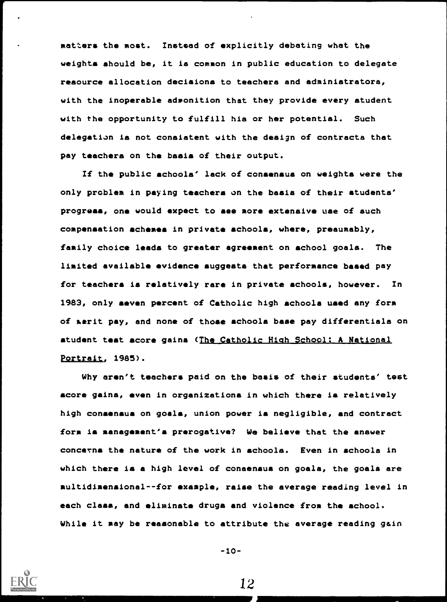matters the most. Instead of explicitly debating what the weights should be, it is common in public education to delegate resource allocation decisions to teachers and administrators, with the inoperable admonition that they provide every student with the opportunity to fulfill his or her potential. Such delegation is not consiatent with the design of contracts that pay teachers on the basis of their output.

If the public schools' lack of consensus on weights were the only problem in paying teachers an the basis of their students' progress, one would expect to see more extensive use of such compensation schemes in private schools, where, presumably, family choice leads to greater agreement on school goals. The limited available evidence suggests that performance based pay for teachers is relatively rare in private schools, however. In 1983, only seven percent of Catholic high schools used any form of aerit pay, and none of those schools base pay differentials on student test score gains (The Catholic High School: A National Portrait, 1985).

Why aren't teachers paid on the basis of their students' test score gains, even in organizations in which there is relatively high consensus on goals, union power is negligible, and contract form is management's prerogative? We believe that the answer concerns the nature of the work in schools. Even in schools in which there is a high level of consensus on goals, the goals are multidimensional--for example, raise the average reading level in each class, and eliminate drugs and violence from the school. While it may be reasonable to attribute the average reading gain

-10-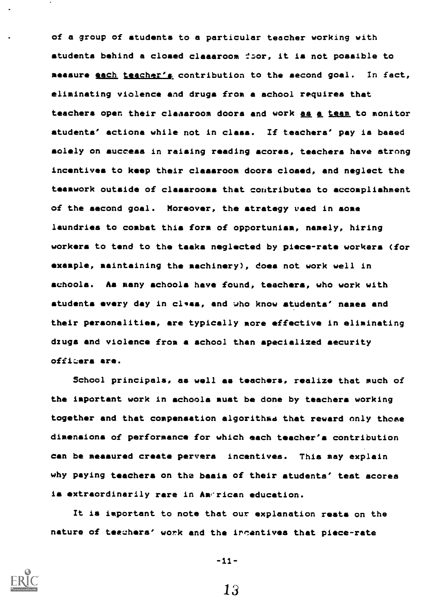of a group of students to a particular teacher working with students behind a closed classroom it is not possible to measure each teacher's contribution to the second goal. In fact, eliminating violence and drugs from a school requires that teachers open their classroom doors and work as a team to monitor atudenta' actions while not in class. If teachers' pay is based solely on success in raising reading scores, teachers have strong incentives to keep their classroom doors closed, and neglect the teamwork outside of classrooms that contributes to accomplishment of the second goal. Moreover, the strategy used in some laundries to combat this form of opportunism, namely, hiring workers to tend to the tasks neglected by piece-rate workers (for example, maintaining the machinery), does not work well in schools. As many schools have found, teachers, who work with atudenta every day in class, and who know atudents' names and their personalities, are typically more effective in eliminating drugs and violence from a school than specialized security officers are.

School principals, as well as teachers, realize that much of the important work in schools must be done by teachers working together and that compensation algorithms that reward only those dimensions of performance for which each teacher's contribution can be measured create pervers incentives. This may explain why paying teachers on the basis of their students' test scores is extraordinarily rare in American education.

It is important to note that our explanation rests on the nature of teachera' work and the ircentives that piece-rate



 $-11-$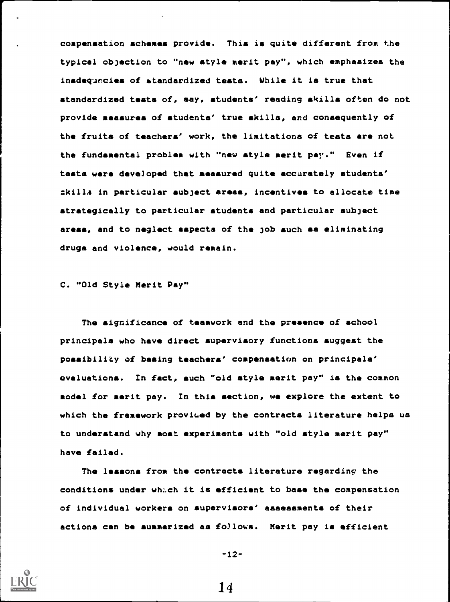compensation schemes provide. This is quite different from the typical objection to "new style merit pay", which emphasizes the inadequacies of standardized testa. While it is true that standardized tests of, say, students' reading skills often do not provide measures of students' true skills, and consequently of the fruits of teachers' work, the limitations of testa are not the fundamental problem with "new style merit pay." Even if teats were deve)oped that measured quite accurately students' skills in particular subject areas, incentives to allocate time strategically to particular students and particular subject areas, and to neglect aspects of the job such as eliminating drugs and violence, would remain.

C. "Old Style Merit Pay"

The significance of teamwork and the presence of school principals who have direct supervisory functions suggest the possibility of basing teachers' compensation on principals' evaluations. In fact, such "old style merit pay" is the common model for merit pay. In this &action, we explore the extent to which the framework provided by the contracts literature helps us to understand why most experiments with "old style merit pay" have failed.

The lessons from the contracts literature regarding the conditions under which it is efficient to base the compensation of individual workers on supervisors' asaesamenta of their actions can be summarized as fo/lows. Merit pay is efficient



-12-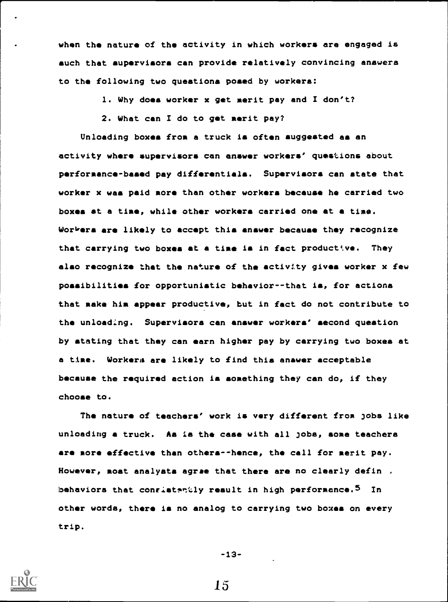when the nature of the activity in which workers are engaged is such that supervisors can provide relatively convincing answers to the following two questions posed by workers:

1. Why does worker x get merit pay and I don't?

2. What can I do to get merit pay?

Unloading boxes from a truck is often auggested as an activity where supervisors can answer workers' questions about performance-based pay differentials. Supervisors can state that worker x was paid more than other workers because he carried two boxes at a time, while other workers carried one at a time. Workers are likely to accept this answer because they recognize that carrying two boxes at a time is in fact productive. They also recognize that the nature of the activity gives worker x few possibilities for opportunistic behavior--that is, for actions that make him appear productive, but in fact do not contribute to the unloading. Supervisors can answer workers' second question by stating that they can earn higher pay by carrying two boxes at a time. Workers are likely to find this anawer acceptable because the required action is something they can do, if they choose to.

The nature of teachers' work is very different from jobs like unloading a truck. As is the case with all jobs, some teachers are more effective than others--hence, the call for merit pay. However, moat analysts agree that there are no clearly defin . behaviors that conristantly result in high performance.<sup>5</sup> In other words, there is no analog to carrying two boxes on every trip.

-13-

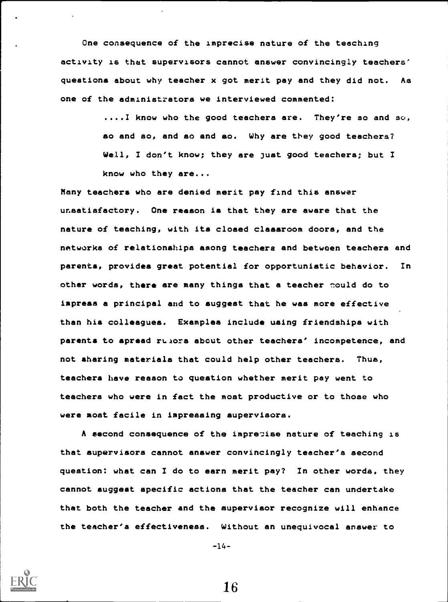One consequence of the Imprecise nature of the teaching activity is that supervisors cannot answer convincingly teachers' questions about why teacher x got merit pay and they did not. As one of the administrators we interviewed commented:

> ....I know who the good teachers are. They're so and so, so and so, and so and so. Why are they good teachers? Well, I don't know; they are just good teachers; but I know who they are...

Many teachers who are denied merit pay find this answer unsatisfactory. One reason is that they are aware that the nature of teaching, with its closed classroom doors, and the networks of relationships among teachers and between teachers and parents, provides great potential for opportunistic behavior. In other words, there are many things that a teacher mould do to iapreaa a principal and to suggest that he was more effective than his colleagues. Examples include using friendships with parents to spread rulors about other teachers' incompetence, and not sharing materials that could help other teachers. Thus, teachers have reason to question whether merit pay went to teachers who were in fact the moat productive or to those who were most facile in impressing supervisors.

A second consequence of the imprecise nature of teaching is that supervisors cannot answer convincingly teacher's second question: what can I do to earn merit pay? In other words, they cannot suggest specific actions that the teacher can undertake that both the teacher and the supervisor recognize will enhance the teacher's effectiveness. Without an unequivocal answer to

-14-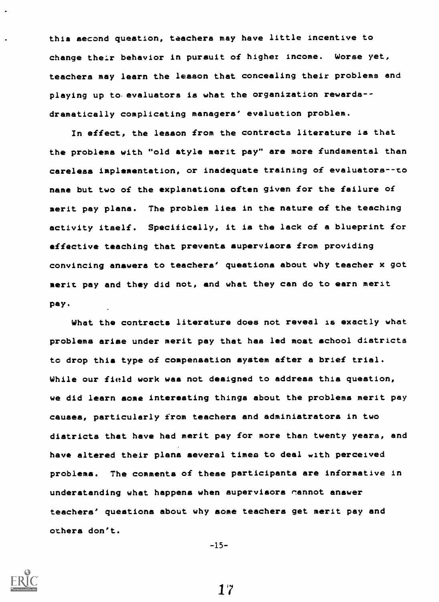this second question, teachers may have little incentive to change their behavior in pursuit of higher income. Worse yet, teachers may learn the lesson that concealing their problems and playing up to evaluators is what the organization rewards-dramatically complicating managers' evaluation problem.

In effect, the lesson from the contracts literature is that the problems with "old style merit pay" are more fundamental than careless implementation, or inadequate training of evaluators--to name but two of the explanations often given for the failure of merit pay plans. The problem lies in the nature of the teaching activity itself. Specifically, it is the lack of a blueprint for effective teaching that prevents supervisors from providing convincing answers to teachers' questions about why teacher x got merit pay and they did not, and what they can do to earn merit pay.

What the contracts literature does not reveal is exactly what problems arise under merit pay that has led moat school districts to drop this type of compensation system after a brief trial. While our field work was not designed to address this question, we did learn some interesting things about the problems merit pay causes, particularly from teachers and administrators in two districts that have had merit pay for more than twenty years, and have altered their plans several times to deal with perceived problems. The comments of these participants are informative in understanding what happens when supervisors cannot answer teachers' queationa about why some teachers get merit pay and others don't.

 $-15-$ 



1 '7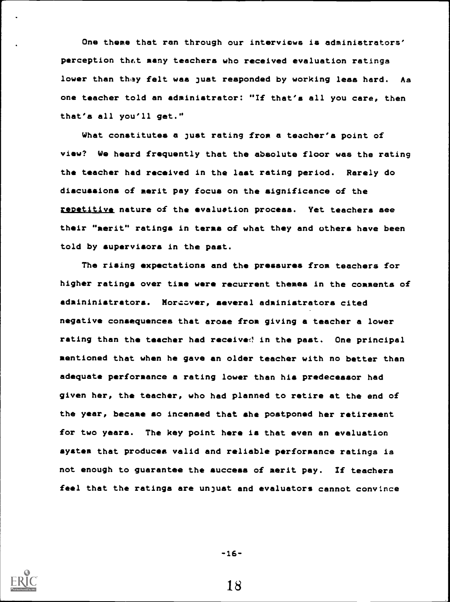One theme that ran through our interviews is administrators' perception theit many teachers who received evaluation ratings lower then thay felt was just responded by working leas hard. As one teacher told an administrator: "If that's all you care, then that's all you'll get."

What constitutes a just rating from a teacher's point of view? We heard frequently that the absolute floor was the rating the teacher had received in the last rating period. Rarely do discussions of merit pay focus on the significance of the repetitive nature of the evaluation process. Yet teachers see their "merit" ratings in terms of whet they and others have been told by supervisors in the past.

The rising expectations and the pressures from teachers for higher ratings over time were recurrent themes in the comments of administrators. Moracver, several administrators cited negative consequences that arose from giving a teacher a lower rating than the teacher had received in the past. One principal mentioned that when he gave an older teacher with no better than adequate performance a rating lower than his predecessor had given her, the teacher, who had planned to retire at the end of the year, became so incensed that she postponed her retirement for two yeara. The key point here is that even an evaluation system that produces valid and reliable performance ratings is not enough to guarantee the success of merit pay. If teachers feel that the ratings are unjust and evaluators cannot convince



-16-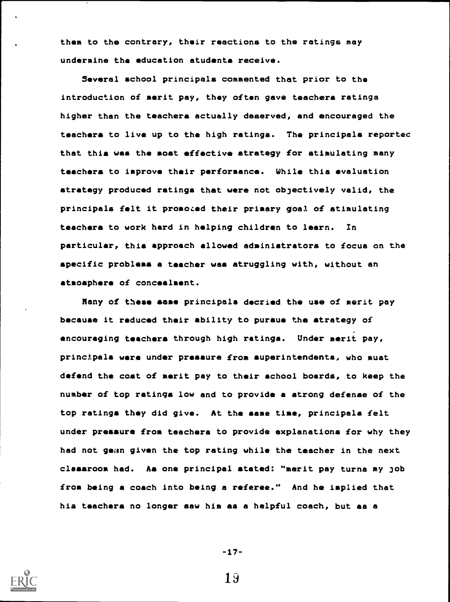them to the contrary, their reactions to the ratings may undermine the education students receive.

Several school principals commented that prior to the introduction of merit pay, they often gave teachers ratings higher than the teachers actually deserved, and encouraged the teachers to live up to the high ratings. The principals reportec that this was the moat effective strategy for stimulating many teachers to improve their performance. While this evaluation strategy produced ratings that were not objectively valid, the principals felt it promoted their primary goal of stimulating teachers to work hard in helping children to learn. In particular, this approach allowed administrators to focus on the apecific problems a teacher was struggling with, without an atmosphere of concealment.

Many of these same principals decried the use of merit pay becauae it reduced their ability to pursue the strategy of encouraging teachers through high ratings. Under merit pay, principala were under pressure from superintendents, who must defend the coat of merit pay to their school boards, to keep the number of top ratings low and to provide a strong defense of the top ratings they did give. At the same time, principals felt under pressure from teachers to provide explanations for why they had not gean given the top rating while the teacher in the next classroom had. Aa one principal stated: "merit pay turns my job from being a coach into being a referee." And he implied that his teachers no longer saw him as a helpful coach, but as a



-17-

1J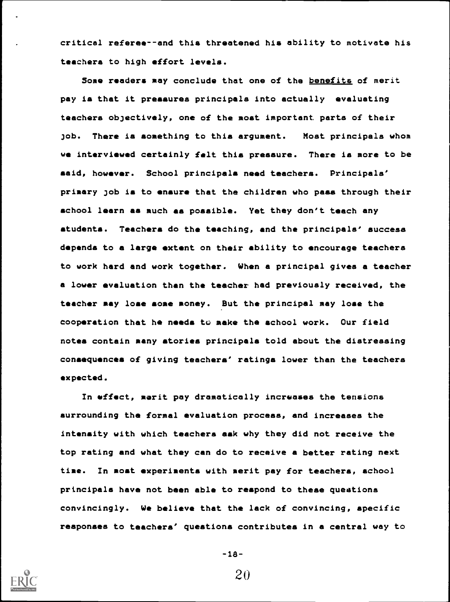critical referee- -and this threatened his ability to motivate his teachers to high effort levels.

Some readers may conclude that one of the benefits of merit pay is that it pressures principals into actually evaluating teachers objectively, one of the most important parts of their job. There is something to this argument. Most principals whom we interviewed certainly felt this preaaure. There is more to be said, however. School principals need teachers. Principals' primary job is to ensure that the children who pass through their school learn as much as possible. Yet they don't teach any students. Teachers do the teaching, and the principals' success depends to a large extent on their ability to encourage teachers to work hard and work together. When a principal gives a teacher a lower evaluation than the teacher had previously received, the teacher may lose some money. But the principal may lose the cooperation that he needs to make the school work. Our field notes contain many stories principals told about the distressing consequences of giving teachers' ratings lower than the teachers expected.

In effect, merit pay dramatically increases the tensions surrounding the formal evaluation process, and increases the intensity with which teachers ask why they did not receive the top rating and what they can do to receive a better rating next time. In most experiments with merit pay for teachers, school principala have not been able to respond to these questions convincingly. We believe that the lack of convincing, specific responses to teachers' questions contributes in a central way to



-18-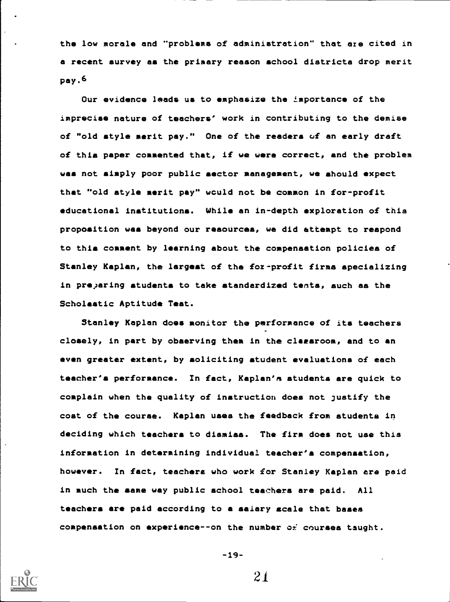the low morale and "problems of administration" that are cited in a recent survey as the primary reason school districts drop merit pay.6

Our evidence leads us to emphasize the ±mportance of the imprecise nature of teachers' work in contributing to the demise of "old style merit pay." One of the readers of an early draft of this paper commented that, if we were correct, and the problem was not simply poor public sector management, we should expect that "old style merit pay" wculd not be common in for-profit educational institutions. While an in-depth exploration of this proposition was beyond our resources, we did attempt to respond to this comment by learning about the compensation policies of Stanley Kaplan, the largest of the for-profit firma specializing in pre)aring students to take standardized tents, such as the Scholastic Aptitude Teat.

Stanley Kaplan does monitor the performance of its teachers closely, in part by observing them in the claesroom, and to an even greater extent, by soliciting student evaluations of each teacher's performance. In fact, Kaplan's students are quick to complain when the quality of instruction does not justify the coat of the course. Kaplan uses the feedback from students in deciding which teachers to dismiss. The firm does not use this information in determining individual teacher's compensation, however. In fact, teachers who work for Stanley Kaplan are paid in much the same way public school teachers are paid. All teachers are paid according to a salary scale that bases compensation on experience--on the number ox courses taught.



-19--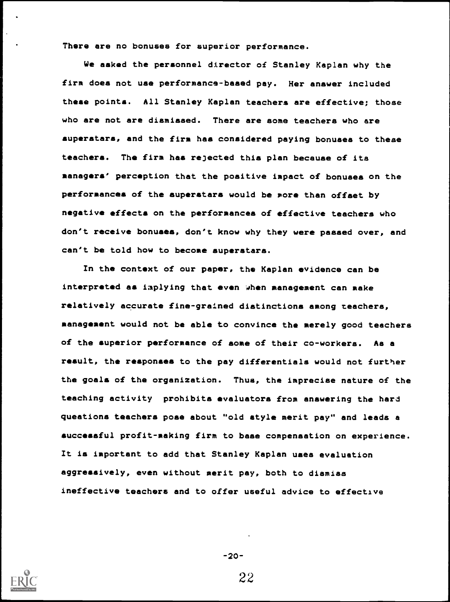There are no bonuses for superior performance.

We asked the personnel director of Stanley Kaplan why the firm does not use performance-based pay. Her answer included these points. All Stanley Kaplan teachers are effective; those who are not are dismissed. There are some teachers who are superstars, and the firm has considered paying bonuses to these teachers. The firm has rejected this plan because of its managers' perception that the positive impact of bonuses on the performances of the superstars would be more than offset by negative effects on the performances of effective teachers who don't receive bonuses, don't know why they were passed over, and can't be told how to become superstars.

In the context of our paper, the Kaplan evidence can be interpreted as inplying that even when management can make relatively accurate fine-grained distinctions among teachers, management would not be able to convince the merely good teachers of the superior performance of some of their co-workers. As a result, the responses to the pay differentials would not further the goals of the organization. Thus, the imprecise nature of the teaching activity prohibits evaluators from answering the hard questions teachers poae about "old style merit pay" and leads a successful profit-making firm to base compensation on experience. It is important to add that Stanley Kaplan uses evaluation aggressively, even without merit pay, both to dismiss ineffective teachers and to offer useful advice to effective



-20-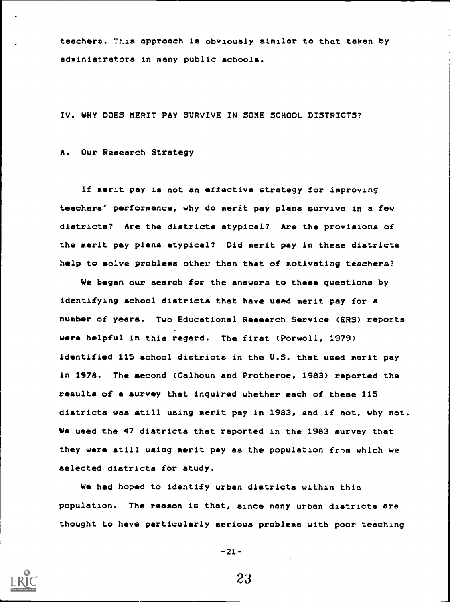teachers. This approach is obviously similar to that taken by administrators in many public schools.

IV. WHY DOES MERIT PAY SURVIVE IN SOME SCHOOL DISTRICTS?

A. Our Research Strategy

If merit pay is not an effective strategy for improving teachers' performance, why do merit pay plans survive in a few districts? Are the districts atypical? Are the provisions of the merit pay plans atypical? Did merit pay in these districts help to solve problems other than that of motivating teachers?

We began our search for the answers to these questions by identifying school districts that have used merit pay for a number of years. Two Educational Research Service (ERS) reports were helpful in this regard. The first (Porwoll, 1979) identified 115 school districts in the U.S. that used merit pay in 1978. The second (Calhoun and Protheroe, 1983) reported the results of a survey that inquired whether each of these 115 districts was still using merit pay in 1983, and if not, why not. We used the 47 districts that reported in the 1983 survey that they were still using merit pay as the population from which we selected districts for study.

We had hoped to identify urban districts within this population. The reason is that, since many urban districts are thought to have particularly serious problems with poor teaching



-21-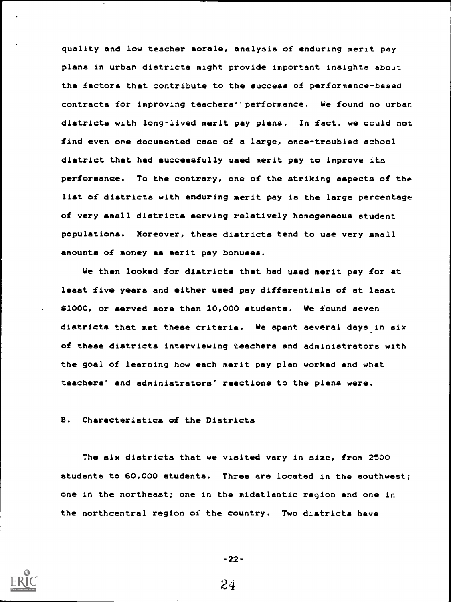quality and low teacher morale, analysis of enduring merit pay plans in urban districts might provide important insights about the factors that contribute to the success of performance-based contracts for improving teachers'' performance. We found no urban diatricta with long-lived merit pay plans. In fact, we could not find even one documented case of a large, once-troubled school district that had successfully used merit pay to improve its performance. To the contrary, one of the striking aspects of the list of districts with enduring merit pay is the large percentage of very small diatricta serving relatively homogeneous student populations. Moreover, these districts tend to use very small amounts of money as merit pay bonuses.

We then looked for districts that had used merit pay for at least five years and either used pay differentials of at least \$1000, or served more than 10,000 students. We found seven districts that met these criteria. We spent several days in six of these districts interviewing teachers and administrators with the goal of learning how each merit pay plan worked and what teachers' and administrators' reactions to the plans were.

B. Characteristics of the Districts

The six districts that we visited vary in size, from 2500 students to 60,000 students. Three are located in the southwest; one in the northeast; one in the midatlantic region and one in the northcentral region of the country. Two districts have



-22-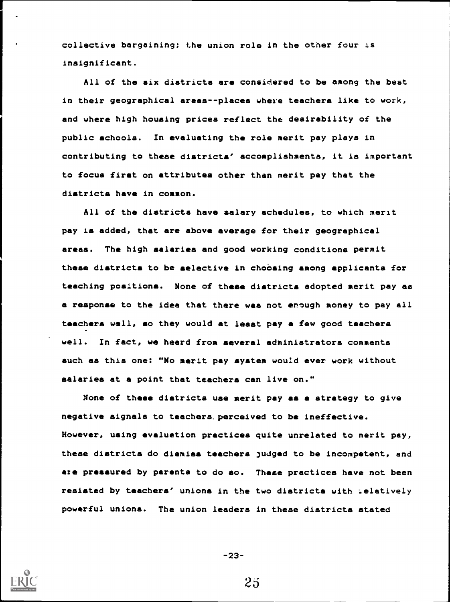collective bargaining; the union role in the other four is insignificant.

All of the six districts are considered to be among the best in their geographical areas--places where teachers like to work, and where high housing prices reflect the desirability of the public schools. In evaluating the role merit pay playa in contributing to these diatricta' accomplishments, it is important to focus first on attributes other than merit pay that the districts have in common.

All of the districts have salary schedules, to which merit pay is added, that are above average for their geographical areaa. The high salaries and good working conditions permit these districts to be selective in choosing among applicants for teaching positions. None of these diatricta adopted merit pay as a response to the idea that there was not enough money to pay all teachers well, so they would at least pay a few good teachers well. In fact, we heard from several adminiatratora comments such as this one: "No merit pay system would ever work without salaries at a point that teachers can live on."

None of these districts use merit pay as a strategy to give negative signals to teachers. perceived to be ineffective. However, using evaluation practices quite unrelated to merit pay, these diatricta do dismiss teachers judged to be incompetent, and aze pressured by parents to do so. These practices have not been resisted by teachers' unions in the two districts with relatively powerful unions. The union leaders in these districts stated



-23-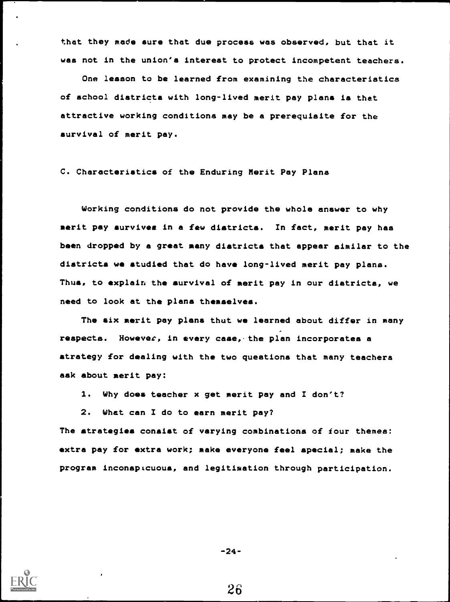that they made sure that due process was observed, but that it was not in the union's interest to protect incompetent teachers.

One lesson to be learned from examining the characteristics of school districts with long-lived merit pay plans is that attractive working conditions may be a prerequisite for the survival of merit pay.

C. Characteristics of the Enduring Merit Pay Plans

Working conditions do not provide the whole answer to why merit pay survives in a few districts. In fact, merit pay has been dropped by a great many districts that appear similar to the districts we studied that do have long-lived merit pay plans. Thus, to explain the survival of merit pay in our districts, we need to look at the plans themselves.

The six merit pay plans thut we learned about differ in many respects. However, in every case,-the plan incorporates a strategy for dealing with the two questions that many teachers ask about merit pay:

1. Why does teacher x get merit pay and I don't?

2. What can I do to earn merit pay?

The strategies consist of varying combinations of four themes: extra pay for extra work; make everyone feel special; make the program inconspicuous, and legitimation through participation.



-24-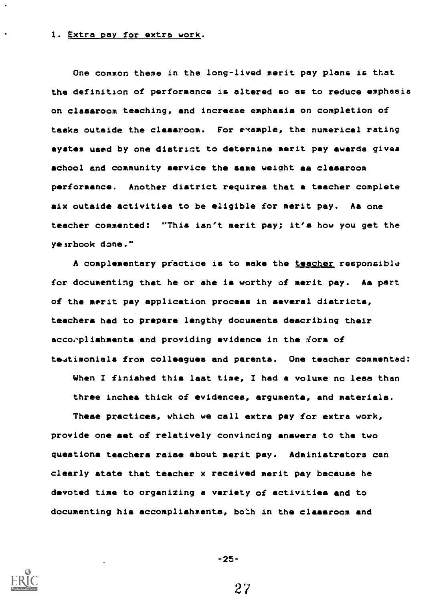#### 1. Extra pay for extra work.

One common theme in the long-lived merit pay plans is that the definition of performance is altered so as to reduce emphasis on classroom teaching, and increese emphasis on completion of tasks outside the classroom. For example, the numerical rating aystem used by one district to determine merit pay awards gives school and community service the same weight as classroom performance. Another district requires that a teacher complete six outside activities to be eligible for merit pay. As one teacher commented: "This isn't merit pay; it's how you get the yearbook done."

A complementary pfactice is to make the teacher responsible for documenting that he or she is worthy of merit pay. As part of the merit pay application process in several districts, teachers had to prepare lengthy documents describing their accorplishments and providing evidence in the form of teatimonials from colleagues and parents. One teacher commented:

When I finished this last time, I had a volume no less than three inches thick of evidences, arguments, and materials.

These practices, which we call extra pay for extra work, provide one set of relatively convincing answers to the two questions teachers raise about merit pay. Administrators can clearly state that teacher x received merit pay because he devoted time to organizing a variety of activities and to documenting his accomplishments, both in the classroom and



-25-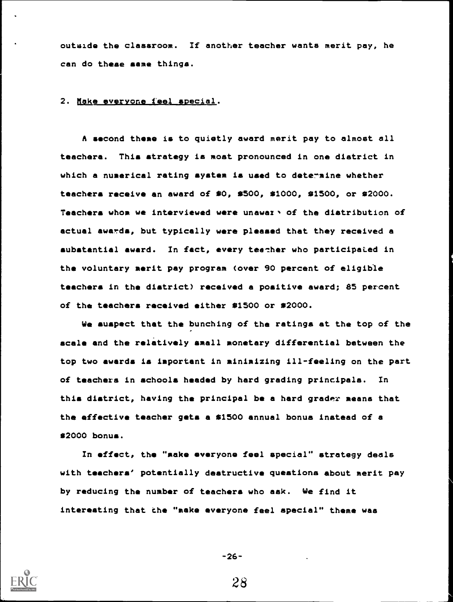outside the classroom. If another teacher wants merit pay, he can do these same things.

## 2. Make everyone feel special.

A second theme is to quietly award merit pay to almost all teachers. This strategy is most pronounced in one district in which a numerical rating system is used to determine whether teachers receive an award of  $$0, $500, $1000, $1500, or $2000.$ Teachers whom we interviewed were unawaz > of the distribution of actual awards, but typically were pleased that they received a substantial award. In fact, every teecher who participated in the voluntary merit pay program (over 90 percent of eligible teachers in the district) received a poaitive award; 85 percent of the teachers received either \$1500 or \$2000.

We suspect that the bunching of the ratings at the top of the scale and the relatively small monetary differential between the top two awards is important in minimizing ill-feeling on the part of teachers in schools headed by herd grading principals. In this district, having the principal be a hard grader means that the effective teacher gets a \$1500 annual bonus instead of a 02000 bonus.

In effect, the "make everyone feel special" strategy deals with teachers' potentially destructive questions about merit pay by reducing the number of teachers who ask. We find it interesting that the "make everyone feel special" theme was



-26-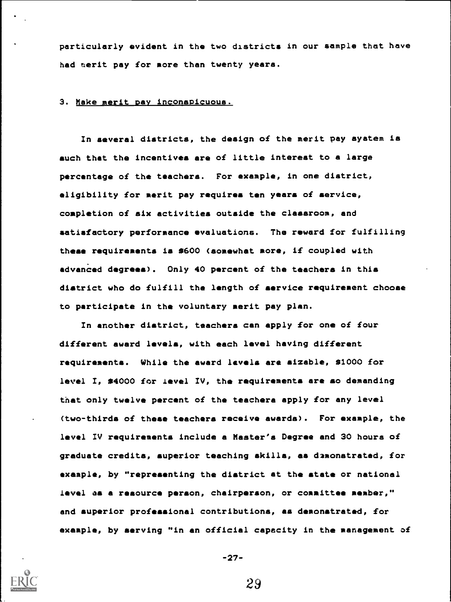particularly evident in the two districts in our sample that have had merit pay for more than twenty years.

### 3. Make merit pay inconspicuous.

In several districts, the design of the merit pay system is such that the incentives are of little interest to a large percentage of the teachers. For example, in one district, eligibility for merit pay requires ten years of service, completion of six activities outside the classroom, and satisfactory performance evaluations. The reward for fulfilling these requirementa is \$600 (somewhat more, if coupled with advanced degrees). Only 40 percent of the teachers in this district who do fulfill the length of service requirement choose to participate in the voluntary merit pay plan.

In another district, teachers can apply for one of four different award levels, with each level having different requirements. While the award levels are sizable, \$1000 for level I, \$4000 for level IV, the requirements are so demanding that only twelve percent of the teachera apply for any level (two-thirds of these teachers receive awards). For example, the level IV requirements include a Master's Degree and 30 hours of graduate credits, superior teaching skilla, as demonstrated, for example, by "representing the district at the state or national level as a resource person, chairperson, or committee member," and superior professional contributions, as demonstrated, for example, by serving "in an official capacity in the management of



-27-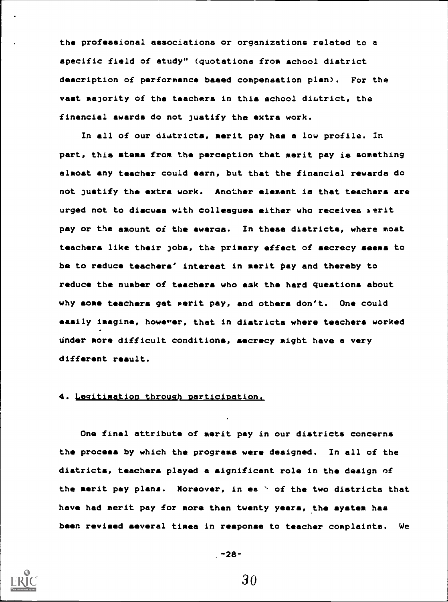the professional associations or organizations related to a specific field of study" (quotations from school district description of performance based compensation plan). For the vast majority of the teachera in this school district, the financial awards do not justify the extra work.

In all of our districts, merit pay has a low profile. In part, this stems from the perception that merit pay is something almost any teacher could earn, but that the financial rewards do not justify the extra work. Another element is that teachers are urged not to discuss with colleagues either who receives merit pay or the amount of the awaros. In theae districts, where most teachers like their jobs, the primary effect of secrecy seems to be to reduce teachers' interest in merit pay and thereby to reduce the number of teachera who oak the hard questions about why some teachers get merit pay, and others don't. One could easily imagine, howewer, that in districts where teachers worked under more difficult Conditions, secrecy might have a very different result.

### 4. Legitimation through participation.

One final attribute of merit pay in our districts concerns the process by which the programs were designed. In all of the districts, teachera played a significant role in the design of the merit pay plans. Moreover, in ea ' of the two districts that have had merit pay for more than twenty years, the system has been revised several times in response to teacher complaints. We



-28-

30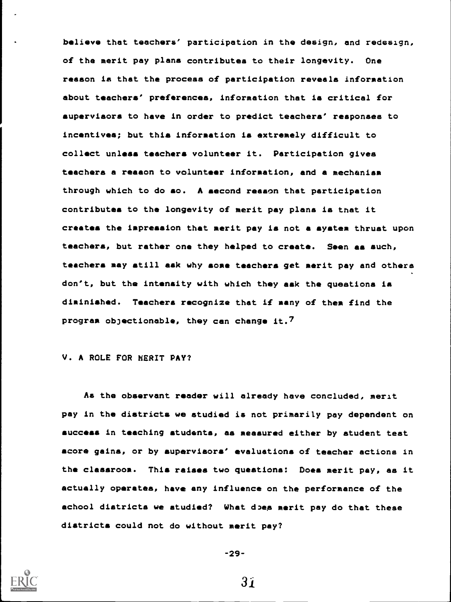believe that teachers' participation in the design, and redesign, of the merit pay plans contributes to their longevity. One reason is that the process of participation reveals information about teachers' preferences, information that is critical for supervisors to have in order to predict teachers' reaponaes to incentives; but this information is extremely difficult to collect unless teachers volunteer it. Participation gives teachers a reason to volunteer information, and a mechanism through which to do so. A second reason that participation contributes to the longevity of merit pay plans is that it creates the impression that merit pay is not a system thrust upon teachers, but rather one they helped to create. Seen as such, teachers may still ask why some teachers get merit pay and others don't, but the intensity with which they ask the questions is diminiahed. Teachers recognize that if many of them find the program objectionable, they can change it.7

# V. A ROLE FOR MERIT PAY?

As the observant reader will already have concluded, merit pay in the districts we studied is not primarily pay dependent on success in teaching students, as measured either by student teat score gains, or by auperviaora' evaluations of teacher actions in the classroom. Thia raises two questions: Does merit pay, as it actually operates, have any influence on the performance of the achool districts we studied? What does merit pay do that these districts could not do without merit pay?



$$
-29-
$$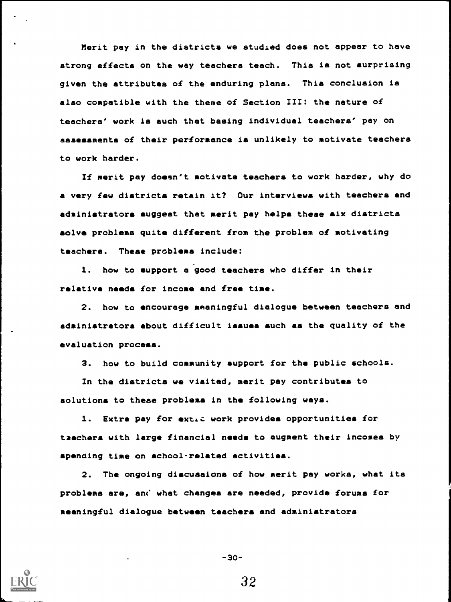Merit pay in the districts we studied does not appear to have strong effects on the way teachers teach. This is not surprising given the attributes of the enduring plans. This conclusion is also compatible with the theme of Section III: the nature of teachers' work is auch that basing individual teachers' pay on assessments of their performance is unlikely to motivate teachers to work harder.

If merit pay doesn't motivate teachers to work harder, why do a very few districts retain it? Our interviews with teachers and administrators suggest that merit pay helps these six districts solve problems quite different from the problem of motivating teachers. These problems include:

1. how to support a good teachers who differ in their relative needs for income and free time.

2. how to encourage meaningful dialogue between teachers and administrator& about difficult issues such as the quality of the evaluation process.

3. how to build community support for the public schools.

In the districts we visited, merit pay contributes to solutions to these problems in the following ways.

1. Extra pay for extid work provides opportunities for tzachers with large financial needs to augment their incomes by spending time on school-related activities.

2. The ongoing discuaaiona of how merit pay works, what its problems are, and what changes are needed, provide forums for meaningful dialogue between teachers and administrators



$$
-30-7
$$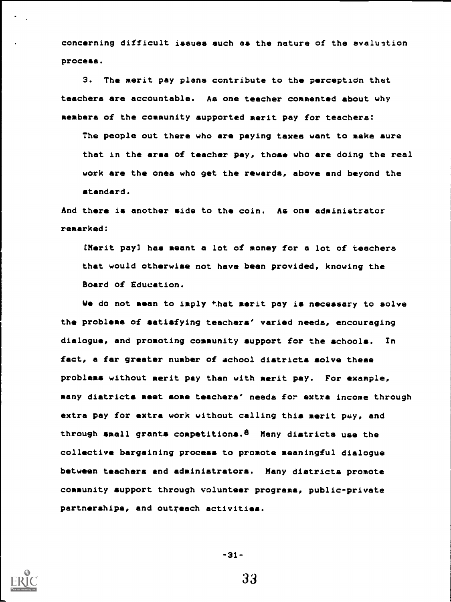concerning difficult issues such as the nature of the avaluntion process.

3. The merit pay plans contribute to the perception that teachers are accountable. As one teacher commented about why members of the community supported merit pay for teachers:

The people out there who are paying taxes want to make sure that in the area of teacher pay, those who are doing the real work are the ones who get the rewards, above and beyond the standard.

And there is another aide to the coin. As one administrator remarked:

[Merit pay] has meant a lot of money for a lot of teachers that would otherwise not have been provided, knowing the Board of Education.

We do not mean to imply that merit pay is necessary to solve the problems of satisfying teachers' varied needs, encouraging dialogue, and promoting community support for the schools. In fact, a far greater number of school districts solve these problems without merit pay than with merit pay. For example, many districts meet some teachers' needs for extra income through extra pay for extra work without calling this merit pay, and through small grants competitions.8 Many districts use the collective bargaining process to promote meaningful dialogue between teachera and administrators. Many districts promote community support through volunteer programs, public-private partnerships, and outreach activities.



-31-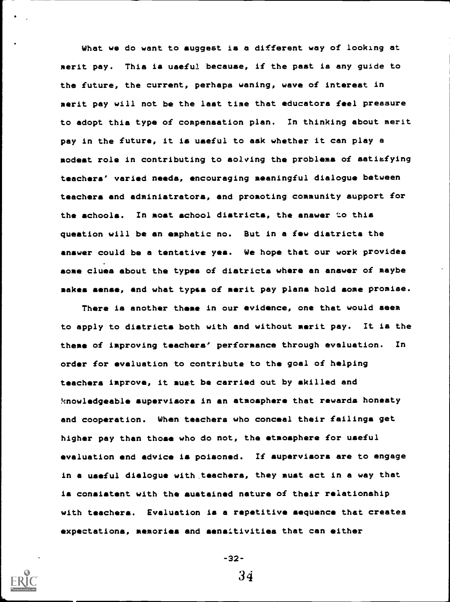What we do want to suggest is a different way of looking at merit pay. This is useful because, if the past is any guide to the future, the current, perhaps waning, wave of interest in merit pay will not be the last time that educators feel pressure to adopt this type of compensation plan. In thinking about merit pay in the future, it is useful to aak whether it can play a modest role in contributing to solving the problems of satisfying teachers' varied needs, encouraging meaningful dialogue between teachers and administrators, and promoting community support for the schools. In most school districts, the answer to this question will be an emphatic no. But in a few diatricta the answer could be a tentative yea. We hope that our work provides some clues about the types of districts where an answer of maybe makes sense, and what typss of merit pay plans hold some promise.

There is another theme in our evidence, one that would seem to apply to diatricta both with and without merit pay. It is the theme of improving teachers' performance through evaluation. In order for evaluation to contribute to the goal of helping teachera improve, it must be carried out by skilled and knowledgeable supervisors in an atmosphere that rewards honesty and cooperation. When teachers who conceal their failings get higher pay than those who do not, the atmosphere for useful evaluation and advice is poisoned. If supervisors are to engage in a useful dialogue with.teachers, they must act in a way that is consistent with the sustained nature of their relationship with teachers. Evaluation is a repetitive sequence that creates expectations, memories and sensitivities that can either



-32-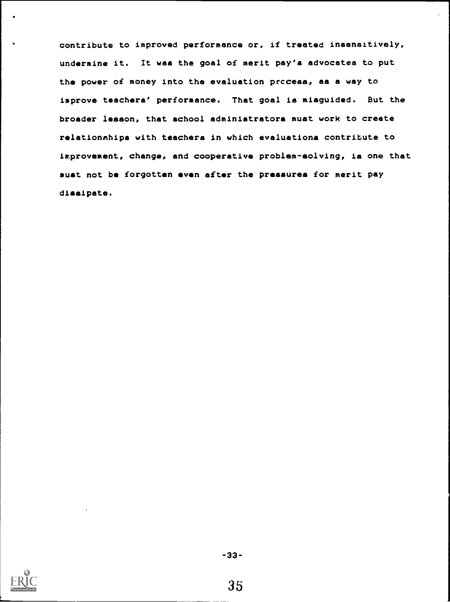contribute to improved performance or, if treated insensitively, undermine it. It was the goal of merit pay'a advocates to put the power of money into the evaluation prccesa, as a way to improve teachers' performance. That goal is misguided. But the broader lesson, that school administrators must work to create relationships with teachers in which evaluations contribute to improvement, change, and cooperative problem-solving, is one that must not be forgotten even after the pressures for merit pay dissipate.



-33-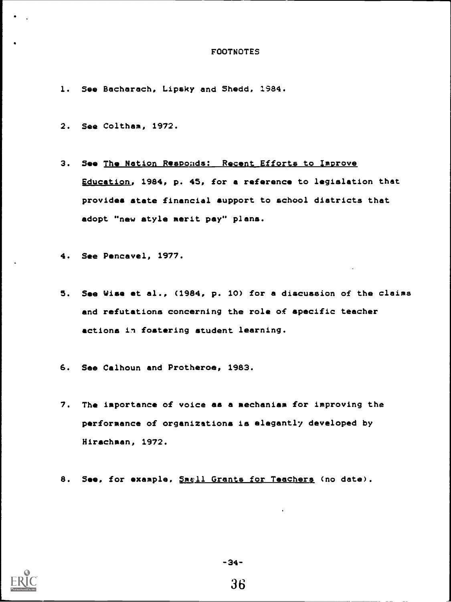#### FOOTNOTES

- 1. See Bacharach, Lipsky and Shedd, 1984.
- 2. See Coltham, 1972.
- 3. See The Nation Responds: Recent Efforts to Improve Education, 1984, p. 45, for a reference to legislation that provides state financial support to school districts that adopt "new style merit pay" plans.
- 4. See Pencavel, 1977.
- 5. See Wise et al., (1984, p. 10) for a discussion of the claims and refutations concerning the role of specific teacher actions in fostering student learning.
- 6. See Calhoun and Protheroe, 1983.
- 7. The importance of voice as a mechanism for improving the performance of organizations is elegantly developed by Hirschman, 1972.
- 8. See, for example, Smell Grants for Teachers (no date).



-34-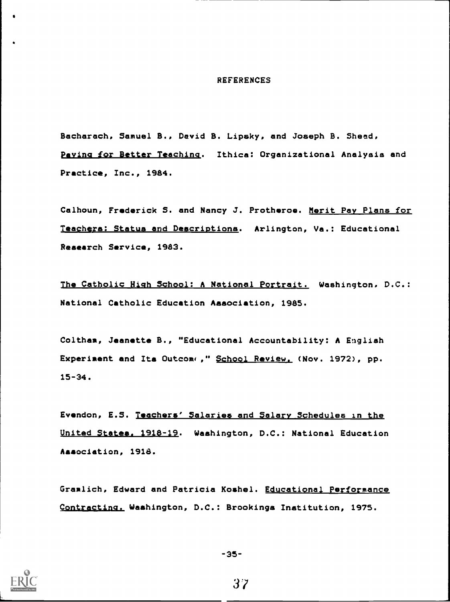#### REFERENCES

Bacharach, Samuel B., David B. Lipsky, and Joseph B. Shead, Paving for Better Teaching. Ithica: Organizational Analysis and Practice, Inc., 1984.

Calhoun, Frederick S. and Nancy J. Protheroe. Merit Pay Plans for Teachers: Status and Descriptions. Arlington, Va.: Educational Research Service, 1983.

The Catholic High School: A National Portrait. Washington, D.C.: National Catholic Education Association, 1985.

Coltham, Jeanette B., "Educational Accountability: A English Experiment and Its Outcome," School Review. (Nov. 1972), pp. 15-34.

Evendon, E.S. Teachers' Salaries and Salary Schedules in the United States, 1918-19. Washington, D.C.: National Education Association, 1918.

Gramlich, Edward and Patricia Koshel. Educational Performance Contracting. Washington, D.C.: Brookings Institution, 1975.



-35-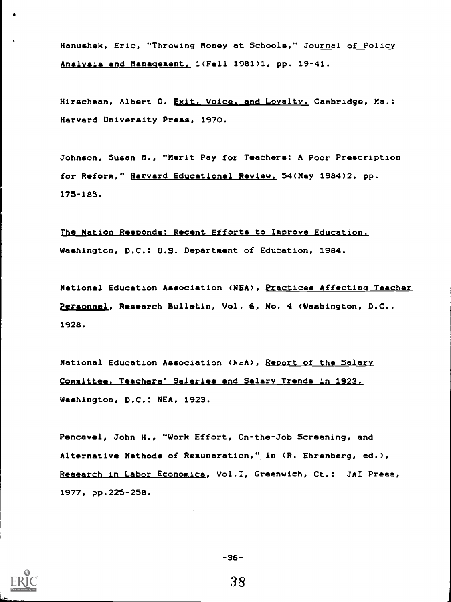. Hanushek, Eric, "Throwing Money at Schools," Journal of Policy Analysis and Management, 1(Fall 1981)1, pp. 19-41.

Hirschman, Albert O. Exit, Voice, and Loyalty. Cambridge, Ma.: Harvard University Press, 1970.

Johnson, Susan M., "Merit Pay for Teachers: A Poor Prescription for Reform," Harvard Educational Review. 54(May 1984)2, pp. 175-185.

The Nation Responds: Recent Efforts to Improve Education. Washington, D.C.: U.S. Department of Education, 1984.

National Education Association (NEA), Practices Affecting Teacher Personnel, Research Bulletin, Vol. 6, No. 4 (Washington, D.C., 1928.

National Education Association (NEA), Report of the Salary Committee. Teachers' Salaries and Salary Trends in 1923. Washington, D.C.: NEA, 1923.

Pencavel, John H., "Work Effort, On-the-Job Screening, and Alternative Methods of Remuneration," in (R. Ehrenberg, ed.), Research in Labor Economica, Vol.I, Greenwich, Ct.: JAI Press, 1977, pp.225-258.



a